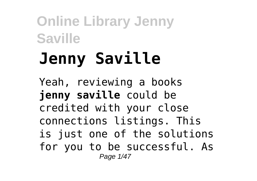# **Jenny Saville**

Yeah, reviewing a books **jenny saville** could be credited with your close connections listings. This is just one of the solutions for you to be successful. As Page 1/47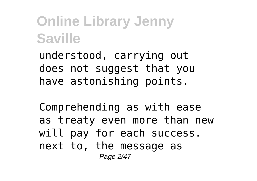understood, carrying out does not suggest that you have astonishing points.

Comprehending as with ease as treaty even more than new will pay for each success. next to, the message as Page 2/47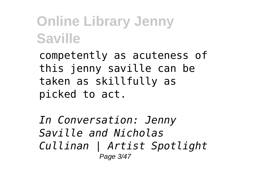competently as acuteness of this jenny saville can be taken as skillfully as picked to act.

*In Conversation: Jenny Saville and Nicholas Cullinan | Artist Spotlight* Page 3/47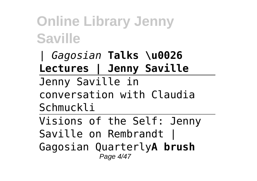*| Gagosian* **Talks \u0026 Lectures | Jenny Saville** Jenny Saville in conversation with Claudia Schmuckli Visions of the Self: Jenny

Saville on Rembrandt | Gagosian Quarterly**A brush** Page 4/47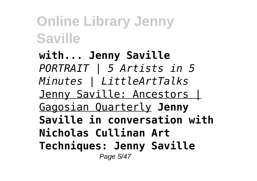**with... Jenny Saville** *PORTRAIT | 5 Artists in 5 Minutes | LittleArtTalks* Jenny Saville: Ancestors | Gagosian Quarterly **Jenny Saville in conversation with Nicholas Cullinan Art Techniques: Jenny Saville** Page 5/47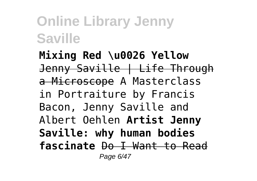**Mixing Red \u0026 Yellow** Jenny Saville | Life Through a Microscope A Masterclass in Portraiture by Francis Bacon, Jenny Saville and Albert Oehlen **Artist Jenny Saville: why human bodies fascinate** Do I Want to Read Page 6/47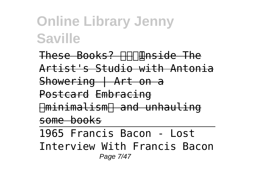These Books? **INN** The The Artist's Studio with Antonia Showering | Art on a Postcard Embracing ✨minimalism✨ and unhauling some books

1965 Francis Bacon - Lost Interview With Francis Bacon Page 7/47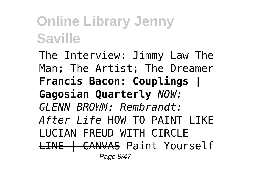The Interview: Jimmy Law The Man; The Artist; The Dreamer **Francis Bacon: Couplings | Gagosian Quarterly** *NOW: GLENN BROWN: Rembrandt: After Life* HOW TO PAINT LIKE LUCIAN FREUD WITH CIRCLE LINE | CANVAS Paint Yourself Page 8/47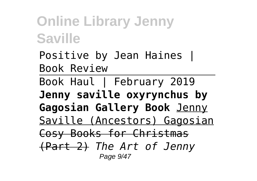Positive by Jean Haines | Book Review Book Haul | February 2019 **Jenny saville oxyrynchus by Gagosian Gallery Book** Jenny Saville (Ancestors) Gagosian Cosy Books for Christmas (Part 2) *The Art of Jenny* Page 9/47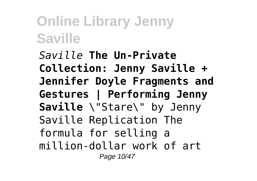*Saville* **The Un-Private Collection: Jenny Saville + Jennifer Doyle Fragments and Gestures | Performing Jenny Saville** \"Stare\" by Jenny Saville Replication The formula for selling a million-dollar work of art Page 10/47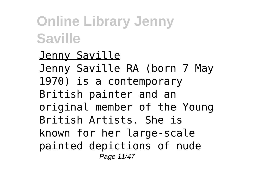Jenny Saville Jenny Saville RA (born 7 May 1970) is a contemporary British painter and an original member of the Young British Artists. She is known for her large-scale painted depictions of nude Page 11/47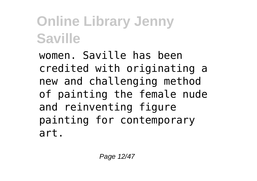women. Saville has been credited with originating a new and challenging method of painting the female nude and reinventing figure painting for contemporary art.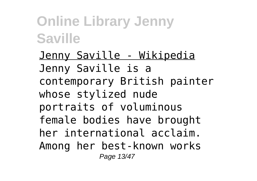Jenny Saville - Wikipedia Jenny Saville is a contemporary British painter whose stylized nude portraits of voluminous female bodies have brought her international acclaim. Among her best-known works Page 13/47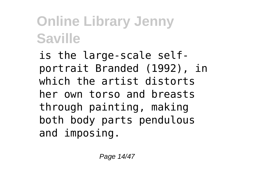is the large-scale selfportrait Branded (1992), in which the artist distorts her own torso and breasts through painting, making both body parts pendulous and imposing.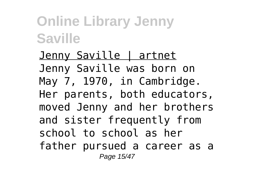Jenny Saville | artnet Jenny Saville was born on May 7, 1970, in Cambridge. Her parents, both educators, moved Jenny and her brothers and sister frequently from school to school as her father pursued a career as a Page 15/47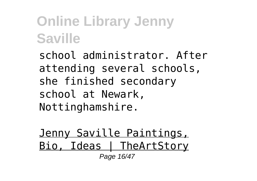school administrator. After attending several schools, she finished secondary school at Newark, Nottinghamshire.

Jenny Saville Paintings, Bio, Ideas | TheArtStory Page 16/47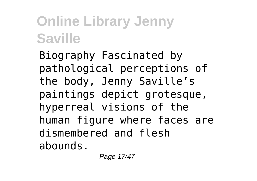Biography Fascinated by pathological perceptions of the body, Jenny Saville's paintings depict grotesque, hyperreal visions of the human figure where faces are dismembered and flesh abounds.

Page 17/47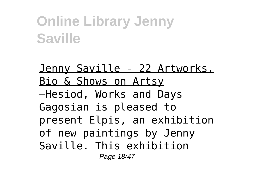Jenny Saville - 22 Artworks, Bio & Shows on Artsy —Hesiod, Works and Days Gagosian is pleased to present Elpis, an exhibition of new paintings by Jenny Saville. This exhibition Page 18/47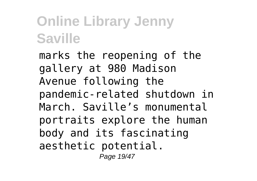marks the reopening of the gallery at 980 Madison Avenue following the pandemic-related shutdown in March. Saville's monumental portraits explore the human body and its fascinating aesthetic potential. Page 19/47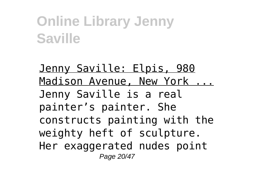Jenny Saville: Elpis, 980 Madison Avenue, New York ... Jenny Saville is a real painter's painter. She constructs painting with the weighty heft of sculpture. Her exaggerated nudes point Page 20/47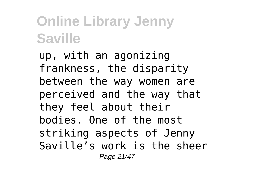up, with an agonizing frankness, the disparity between the way women are perceived and the way that they feel about their bodies. One of the most striking aspects of Jenny Saville's work is the sheer Page 21/47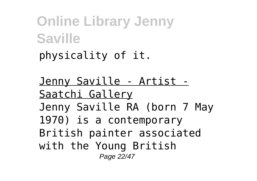**Online Library Jenny Saville** physicality of it.

Jenny Saville - Artist - Saatchi Gallery Jenny Saville RA (born 7 May 1970) is a contemporary British painter associated with the Young British Page 22/47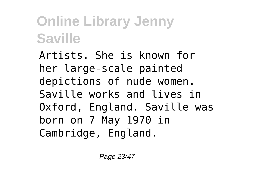Artists. She is known for her large-scale painted depictions of nude women. Saville works and lives in Oxford, England. Saville was born on 7 May 1970 in Cambridge, England.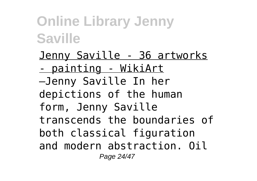Jenny Saville - 36 artworks - painting - WikiArt —Jenny Saville In her depictions of the human form, Jenny Saville transcends the boundaries of both classical figuration and modern abstraction. Oil Page 24/47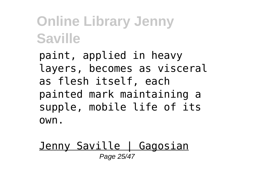paint, applied in heavy layers, becomes as visceral as flesh itself, each painted mark maintaining a supple, mobile life of its own.

#### Jenny Saville | Gagosian Page 25/47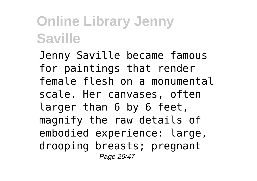Jenny Saville became famous for paintings that render female flesh on a monumental scale. Her canvases, often larger than 6 by 6 feet, magnify the raw details of embodied experience: large, drooping breasts; pregnant Page 26/47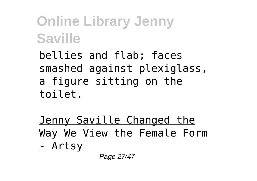bellies and flab; faces smashed against plexiglass, a figure sitting on the toilet.

Jenny Saville Changed the Way We View the Female Form - Artsy

Page 27/47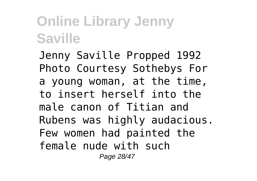Jenny Saville Propped 1992 Photo Courtesy Sothebys For a young woman, at the time, to insert herself into the male canon of Titian and Rubens was highly audacious. Few women had painted the female nude with such Page 28/47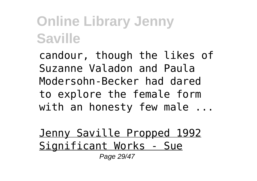candour, though the likes of Suzanne Valadon and Paula Modersohn-Becker had dared to explore the female form with an honesty few male ...

Jenny Saville Propped 1992 Significant Works - Sue Page 29/47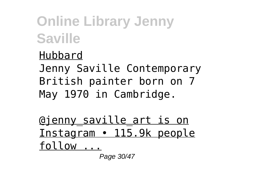#### Hubbard

Jenny Saville Contemporary British painter born on 7 May 1970 in Cambridge.

@jenny\_saville\_art is on Instagram • 115.9k people follow ...

Page 30/47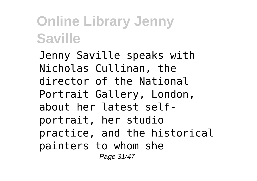Jenny Saville speaks with Nicholas Cullinan, the director of the National Portrait Gallery, London, about her latest selfportrait, her studio practice, and the historical painters to whom she Page 31/47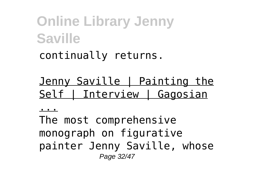#### continually returns.

#### Jenny Saville | Painting the Self | Interview | Gagosian

...

The most comprehensive monograph on figurative painter Jenny Saville, whose Page 32/47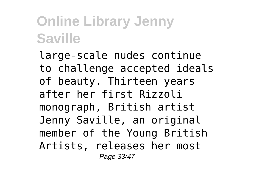large-scale nudes continue to challenge accepted ideals of beauty. Thirteen years after her first Rizzoli monograph, British artist Jenny Saville, an original member of the Young British Artists, releases her most Page 33/47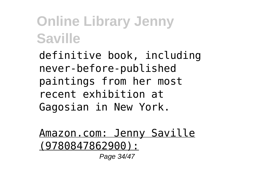definitive book, including never-before-published paintings from her most recent exhibition at Gagosian in New York.

Amazon.com: Jenny Saville (9780847862900):

Page 34/47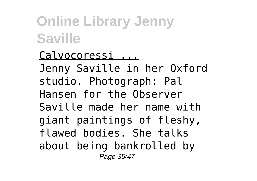Calvocoressi ... Jenny Saville in her Oxford studio. Photograph: Pal Hansen for the Observer Saville made her name with giant paintings of fleshy, flawed bodies. She talks about being bankrolled by Page 35/47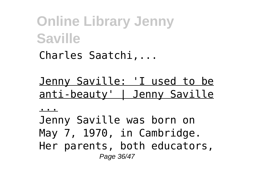Charles Saatchi,...

Jenny Saville: 'I used to be anti-beauty' | Jenny Saville

...

Jenny Saville was born on May 7, 1970, in Cambridge. Her parents, both educators, Page 36/47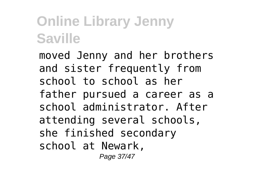moved Jenny and her brothers and sister frequently from school to school as her father pursued a career as a school administrator. After attending several schools, she finished secondary school at Newark, Page 37/47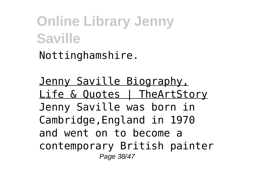Nottinghamshire.

Jenny Saville Biography, Life & Quotes | TheArtStory Jenny Saville was born in Cambridge,England in 1970 and went on to become a contemporary British painter Page 38/47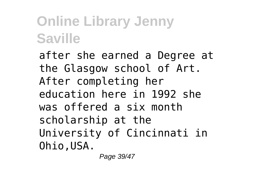after she earned a Degree at the Glasgow school of Art. After completing her education here in 1992 she was offered a six month scholarship at the University of Cincinnati in Ohio,USA.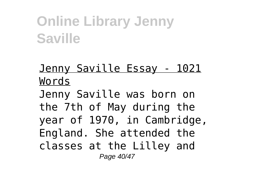#### Jenny Saville Essay - 1021 Words

Jenny Saville was born on the 7th of May during the year of 1970, in Cambridge, England. She attended the classes at the Lilley and Page 40/47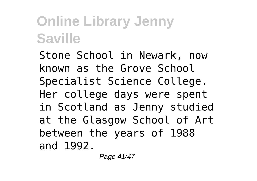Stone School in Newark, now known as the Grove School Specialist Science College. Her college days were spent in Scotland as Jenny studied at the Glasgow School of Art between the years of 1988 and 1992.

Page 41/47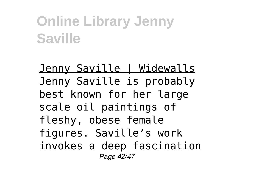Jenny Saville | Widewalls Jenny Saville is probably best known for her large scale oil paintings of fleshy, obese female figures. Saville's work invokes a deep fascination Page 42/47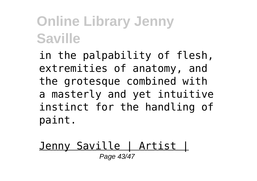in the palpability of flesh, extremities of anatomy, and the grotesque combined with a masterly and yet intuitive instinct for the handling of paint.

#### Jenny Saville | Artist | Page 43/47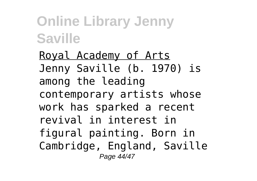Royal Academy of Arts Jenny Saville (b. 1970) is among the leading contemporary artists whose work has sparked a recent revival in interest in figural painting. Born in Cambridge, England, Saville Page 44/47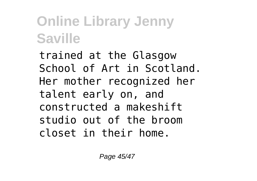trained at the Glasgow School of Art in Scotland. Her mother recognized her talent early on, and constructed a makeshift studio out of the broom closet in their home.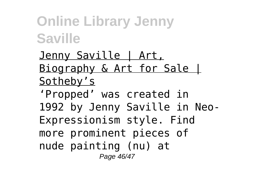Jenny Saville | Art, Biography & Art for Sale | Sotheby's

'Propped' was created in 1992 by Jenny Saville in Neo-Expressionism style. Find more prominent pieces of nude painting (nu) at Page 46/47